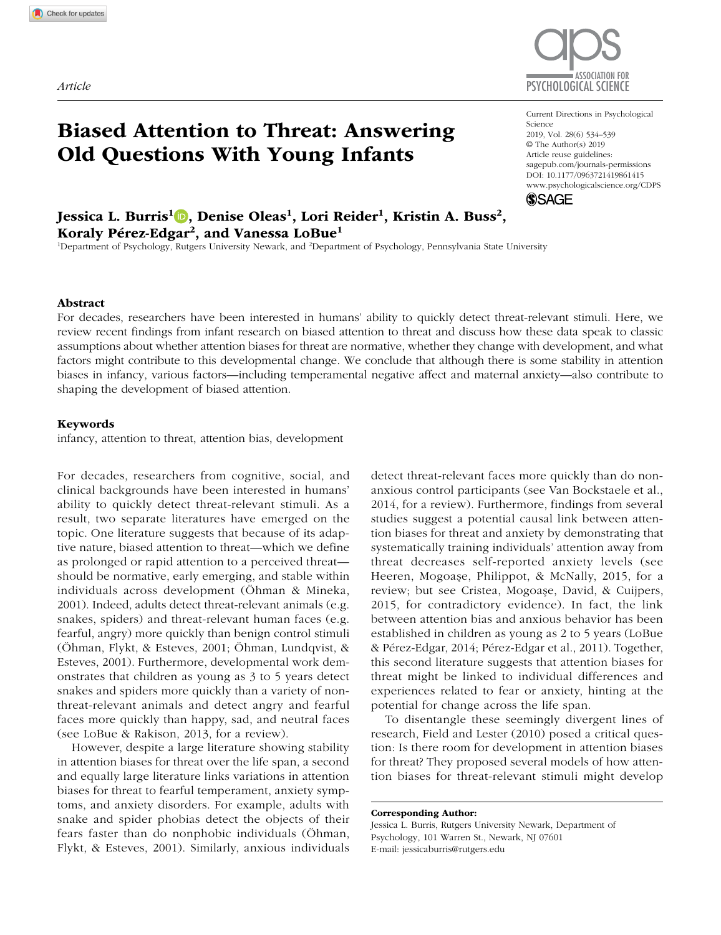# Biased Attention to Threat: Answering Old Questions With Young Infants



https://doi.org/10.1177/0963721419861415 DOI: 10.1177/0963721419861415 Current Directions in Psychological Science 2019, Vol. 28(6) 534–539 © The Author(s) 2019 Article reuse guidelines: [sagepub.com/journals-permissions](https://sagepub.com/journals-permissions) [www.psychologicalscience.org/CDPS](http://www.psychologicalscience.org/cdps)

**SSAGE** 

Jessica L. Burris<sup>1</sup><sup>D</sup>, Denise Oleas<sup>1</sup>, Lori Reider<sup>1</sup>, Kristin A. Buss<sup>2</sup>, Koraly Pérez-Edgar<sup>2</sup>, and Vanessa LoBue<sup>1</sup>

<sup>1</sup>Department of Psychology, Rutgers University Newark, and <sup>2</sup>Department of Psychology, Pennsylvania State University

#### Abstract

For decades, researchers have been interested in humans' ability to quickly detect threat-relevant stimuli. Here, we review recent findings from infant research on biased attention to threat and discuss how these data speak to classic assumptions about whether attention biases for threat are normative, whether they change with development, and what factors might contribute to this developmental change. We conclude that although there is some stability in attention biases in infancy, various factors—including temperamental negative affect and maternal anxiety—also contribute to shaping the development of biased attention.

## Keywords

infancy, attention to threat, attention bias, development

For decades, researchers from cognitive, social, and clinical backgrounds have been interested in humans' ability to quickly detect threat-relevant stimuli. As a result, two separate literatures have emerged on the topic. One literature suggests that because of its adaptive nature, biased attention to threat—which we define as prolonged or rapid attention to a perceived threat should be normative, early emerging, and stable within individuals across development (Öhman & Mineka, 2001). Indeed, adults detect threat-relevant animals (e.g. snakes, spiders) and threat-relevant human faces (e.g. fearful, angry) more quickly than benign control stimuli (Öhman, Flykt, & Esteves, 2001; Öhman, Lundqvist, & Esteves, 2001). Furthermore, developmental work demonstrates that children as young as 3 to 5 years detect snakes and spiders more quickly than a variety of nonthreat-relevant animals and detect angry and fearful faces more quickly than happy, sad, and neutral faces (see LoBue & Rakison, 2013, for a review).

However, despite a large literature showing stability in attention biases for threat over the life span, a second and equally large literature links variations in attention biases for threat to fearful temperament, anxiety symptoms, and anxiety disorders. For example, adults with snake and spider phobias detect the objects of their fears faster than do nonphobic individuals (Öhman, Flykt, & Esteves, 2001). Similarly, anxious individuals detect threat-relevant faces more quickly than do nonanxious control participants (see Van Bockstaele et al., 2014, for a review). Furthermore, findings from several studies suggest a potential causal link between attention biases for threat and anxiety by demonstrating that systematically training individuals' attention away from threat decreases self-reported anxiety levels (see Heeren, Mogoase, Philippot, & McNally, 2015, for a review; but see Cristea, Mogoașe, David, & Cuijpers, 2015, for contradictory evidence). In fact, the link between attention bias and anxious behavior has been established in children as young as 2 to 5 years (LoBue & Pérez-Edgar, 2014; Pérez-Edgar et al., 2011). Together, this second literature suggests that attention biases for threat might be linked to individual differences and experiences related to fear or anxiety, hinting at the potential for change across the life span.

To disentangle these seemingly divergent lines of research, Field and Lester (2010) posed a critical question: Is there room for development in attention biases for threat? They proposed several models of how attention biases for threat-relevant stimuli might develop

Corresponding Author:

Jessica L. Burris, Rutgers University Newark, Department of Psychology, 101 Warren St., Newark, NJ 07601 E-mail: [jessicaburris@rutgers.edu](mailto:jessicaburris@rutgers.edu)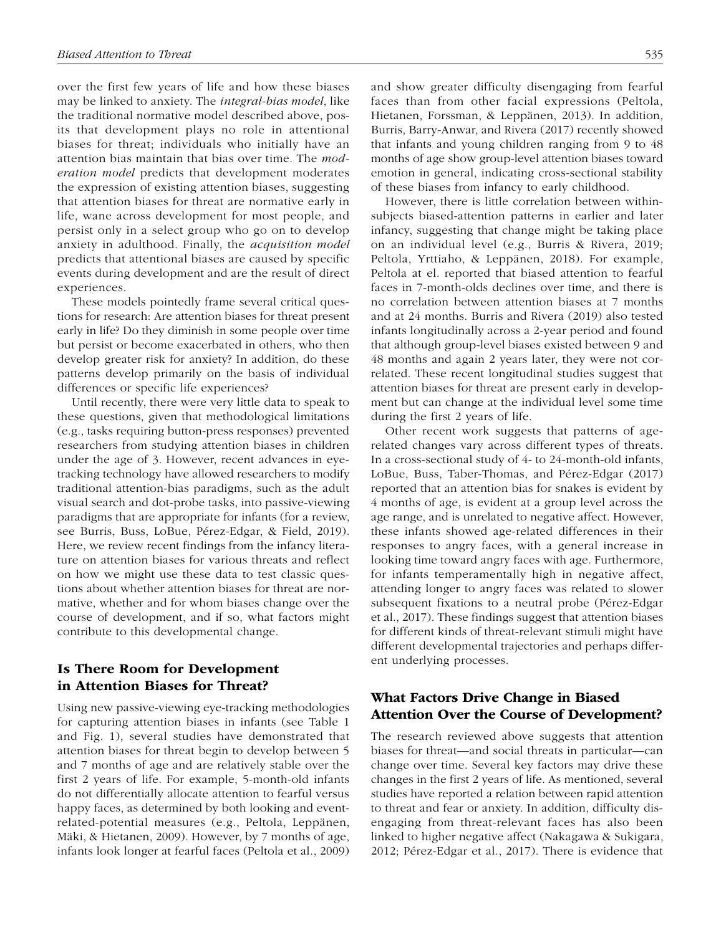over the first few years of life and how these biases may be linked to anxiety. The *integral-bias model*, like the traditional normative model described above, posits that development plays no role in attentional biases for threat; individuals who initially have an attention bias maintain that bias over time. The *moderation model* predicts that development moderates the expression of existing attention biases, suggesting that attention biases for threat are normative early in life, wane across development for most people, and persist only in a select group who go on to develop anxiety in adulthood. Finally, the *acquisition model* predicts that attentional biases are caused by specific events during development and are the result of direct experiences.

These models pointedly frame several critical questions for research: Are attention biases for threat present early in life? Do they diminish in some people over time but persist or become exacerbated in others, who then develop greater risk for anxiety? In addition, do these patterns develop primarily on the basis of individual differences or specific life experiences?

Until recently, there were very little data to speak to these questions, given that methodological limitations (e.g., tasks requiring button-press responses) prevented researchers from studying attention biases in children under the age of 3. However, recent advances in eyetracking technology have allowed researchers to modify traditional attention-bias paradigms, such as the adult visual search and dot-probe tasks, into passive-viewing paradigms that are appropriate for infants (for a review, see Burris, Buss, LoBue, Pérez-Edgar, & Field, 2019). Here, we review recent findings from the infancy literature on attention biases for various threats and reflect on how we might use these data to test classic questions about whether attention biases for threat are normative, whether and for whom biases change over the course of development, and if so, what factors might contribute to this developmental change.

# Is There Room for Development in Attention Biases for Threat?

Using new passive-viewing eye-tracking methodologies for capturing attention biases in infants (see Table 1 and Fig. 1), several studies have demonstrated that attention biases for threat begin to develop between 5 and 7 months of age and are relatively stable over the first 2 years of life. For example, 5-month-old infants do not differentially allocate attention to fearful versus happy faces, as determined by both looking and eventrelated-potential measures (e.g., Peltola, Leppänen, Mäki, & Hietanen, 2009). However, by 7 months of age, infants look longer at fearful faces (Peltola et al., 2009) and show greater difficulty disengaging from fearful faces than from other facial expressions (Peltola, Hietanen, Forssman, & Leppänen, 2013). In addition, Burris, Barry-Anwar, and Rivera (2017) recently showed that infants and young children ranging from 9 to 48 months of age show group-level attention biases toward emotion in general, indicating cross-sectional stability of these biases from infancy to early childhood.

However, there is little correlation between withinsubjects biased-attention patterns in earlier and later infancy, suggesting that change might be taking place on an individual level (e.g., Burris & Rivera, 2019; Peltola, Yrttiaho, & Leppänen, 2018). For example, Peltola at el. reported that biased attention to fearful faces in 7-month-olds declines over time, and there is no correlation between attention biases at 7 months and at 24 months. Burris and Rivera (2019) also tested infants longitudinally across a 2-year period and found that although group-level biases existed between 9 and 48 months and again 2 years later, they were not correlated. These recent longitudinal studies suggest that attention biases for threat are present early in development but can change at the individual level some time during the first 2 years of life.

Other recent work suggests that patterns of agerelated changes vary across different types of threats. In a cross-sectional study of 4- to 24-month-old infants, LoBue, Buss, Taber-Thomas, and Pérez-Edgar (2017) reported that an attention bias for snakes is evident by 4 months of age, is evident at a group level across the age range, and is unrelated to negative affect. However, these infants showed age-related differences in their responses to angry faces, with a general increase in looking time toward angry faces with age. Furthermore, for infants temperamentally high in negative affect, attending longer to angry faces was related to slower subsequent fixations to a neutral probe (Pérez-Edgar et al., 2017). These findings suggest that attention biases for different kinds of threat-relevant stimuli might have different developmental trajectories and perhaps different underlying processes.

# What Factors Drive Change in Biased Attention Over the Course of Development?

The research reviewed above suggests that attention biases for threat—and social threats in particular—can change over time. Several key factors may drive these changes in the first 2 years of life. As mentioned, several studies have reported a relation between rapid attention to threat and fear or anxiety. In addition, difficulty disengaging from threat-relevant faces has also been linked to higher negative affect (Nakagawa & Sukigara, 2012; Pérez-Edgar et al., 2017). There is evidence that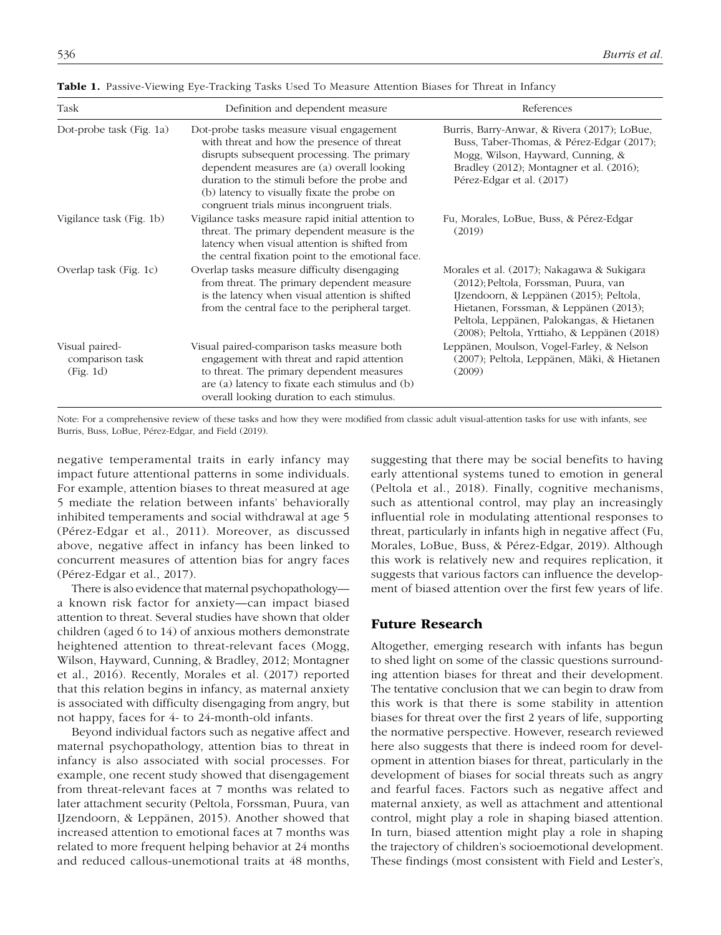| Task                                           | Definition and dependent measure                                                                                                                                                                                                                                                                                                  | References                                                                                                                                                                                                                                                            |
|------------------------------------------------|-----------------------------------------------------------------------------------------------------------------------------------------------------------------------------------------------------------------------------------------------------------------------------------------------------------------------------------|-----------------------------------------------------------------------------------------------------------------------------------------------------------------------------------------------------------------------------------------------------------------------|
| Dot-probe task (Fig. 1a)                       | Dot-probe tasks measure visual engagement<br>with threat and how the presence of threat<br>disrupts subsequent processing. The primary<br>dependent measures are (a) overall looking<br>duration to the stimuli before the probe and<br>(b) latency to visually fixate the probe on<br>congruent trials minus incongruent trials. | Burris, Barry-Anwar, & Rivera (2017); LoBue,<br>Buss, Taber-Thomas, & Pérez-Edgar (2017);<br>Mogg, Wilson, Hayward, Cunning, &<br>Bradley (2012); Montagner et al. (2016);<br>Pérez-Edgar et al. (2017)                                                               |
| Vigilance task (Fig. 1b)                       | Vigilance tasks measure rapid initial attention to<br>threat. The primary dependent measure is the<br>latency when visual attention is shifted from<br>the central fixation point to the emotional face.                                                                                                                          | Fu, Morales, LoBue, Buss, & Pérez-Edgar<br>(2019)                                                                                                                                                                                                                     |
| Overlap task (Fig. 1c)                         | Overlap tasks measure difficulty disengaging<br>from threat. The primary dependent measure<br>is the latency when visual attention is shifted<br>from the central face to the peripheral target.                                                                                                                                  | Morales et al. (2017); Nakagawa & Sukigara<br>(2012); Peltola, Forssman, Puura, van<br>IJzendoorn, & Leppänen (2015); Peltola,<br>Hietanen, Forssman, & Leppänen (2013);<br>Peltola, Leppänen, Palokangas, & Hietanen<br>(2008); Peltola, Yrttiaho, & Leppänen (2018) |
| Visual paired-<br>comparison task<br>(Fig. 1d) | Visual paired-comparison tasks measure both<br>engagement with threat and rapid attention<br>to threat. The primary dependent measures<br>are (a) latency to fixate each stimulus and (b)<br>overall looking duration to each stimulus.                                                                                           | Leppänen, Moulson, Vogel-Farley, & Nelson<br>(2007); Peltola, Leppänen, Mäki, & Hietanen<br>(2009)                                                                                                                                                                    |

Table 1. Passive-Viewing Eye-Tracking Tasks Used To Measure Attention Biases for Threat in Infancy

Note: For a comprehensive review of these tasks and how they were modified from classic adult visual-attention tasks for use with infants, see Burris, Buss, LoBue, Pérez-Edgar, and Field (2019).

negative temperamental traits in early infancy may impact future attentional patterns in some individuals. For example, attention biases to threat measured at age 5 mediate the relation between infants' behaviorally inhibited temperaments and social withdrawal at age 5 (Pérez-Edgar et al., 2011). Moreover, as discussed above, negative affect in infancy has been linked to concurrent measures of attention bias for angry faces (Pérez-Edgar et al., 2017).

There is also evidence that maternal psychopathology a known risk factor for anxiety—can impact biased attention to threat. Several studies have shown that older children (aged 6 to 14) of anxious mothers demonstrate heightened attention to threat-relevant faces (Mogg, Wilson, Hayward, Cunning, & Bradley, 2012; Montagner et al., 2016). Recently, Morales et al. (2017) reported that this relation begins in infancy, as maternal anxiety is associated with difficulty disengaging from angry, but not happy, faces for 4- to 24-month-old infants.

Beyond individual factors such as negative affect and maternal psychopathology, attention bias to threat in infancy is also associated with social processes. For example, one recent study showed that disengagement from threat-relevant faces at 7 months was related to later attachment security (Peltola, Forssman, Puura, van IJzendoorn, & Leppänen, 2015). Another showed that increased attention to emotional faces at 7 months was related to more frequent helping behavior at 24 months and reduced callous-unemotional traits at 48 months, suggesting that there may be social benefits to having early attentional systems tuned to emotion in general (Peltola et al., 2018). Finally, cognitive mechanisms, such as attentional control, may play an increasingly influential role in modulating attentional responses to threat, particularly in infants high in negative affect (Fu, Morales, LoBue, Buss, & Pérez-Edgar, 2019). Although this work is relatively new and requires replication, it suggests that various factors can influence the development of biased attention over the first few years of life.

# Future Research

Altogether, emerging research with infants has begun to shed light on some of the classic questions surrounding attention biases for threat and their development. The tentative conclusion that we can begin to draw from this work is that there is some stability in attention biases for threat over the first 2 years of life, supporting the normative perspective. However, research reviewed here also suggests that there is indeed room for development in attention biases for threat, particularly in the development of biases for social threats such as angry and fearful faces. Factors such as negative affect and maternal anxiety, as well as attachment and attentional control, might play a role in shaping biased attention. In turn, biased attention might play a role in shaping the trajectory of children's socioemotional development. These findings (most consistent with Field and Lester's,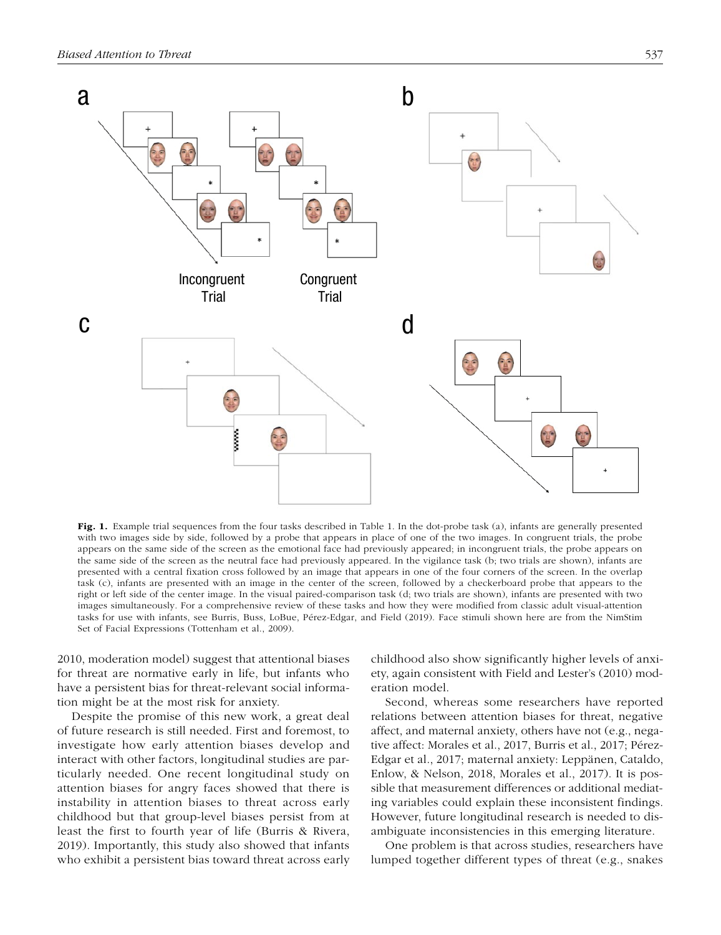

Fig. 1. Example trial sequences from the four tasks described in Table 1. In the dot-probe task (a), infants are generally presented with two images side by side, followed by a probe that appears in place of one of the two images. In congruent trials, the probe appears on the same side of the screen as the emotional face had previously appeared; in incongruent trials, the probe appears on the same side of the screen as the neutral face had previously appeared. In the vigilance task (b; two trials are shown), infants are presented with a central fixation cross followed by an image that appears in one of the four corners of the screen. In the overlap task (c), infants are presented with an image in the center of the screen, followed by a checkerboard probe that appears to the right or left side of the center image. In the visual paired-comparison task (d; two trials are shown), infants are presented with two images simultaneously. For a comprehensive review of these tasks and how they were modified from classic adult visual-attention tasks for use with infants, see Burris, Buss, LoBue, Pérez-Edgar, and Field (2019). Face stimuli shown here are from the NimStim Set of Facial Expressions (Tottenham et al., 2009).

2010, moderation model) suggest that attentional biases for threat are normative early in life, but infants who have a persistent bias for threat-relevant social information might be at the most risk for anxiety.

Despite the promise of this new work, a great deal of future research is still needed. First and foremost, to investigate how early attention biases develop and interact with other factors, longitudinal studies are particularly needed. One recent longitudinal study on attention biases for angry faces showed that there is instability in attention biases to threat across early childhood but that group-level biases persist from at least the first to fourth year of life (Burris & Rivera, 2019). Importantly, this study also showed that infants who exhibit a persistent bias toward threat across early childhood also show significantly higher levels of anxiety, again consistent with Field and Lester's (2010) moderation model.

Second, whereas some researchers have reported relations between attention biases for threat, negative affect, and maternal anxiety, others have not (e.g., negative affect: Morales et al., 2017, Burris et al., 2017; Pérez-Edgar et al., 2017; maternal anxiety: Leppänen, Cataldo, Enlow, & Nelson, 2018, Morales et al., 2017). It is possible that measurement differences or additional mediating variables could explain these inconsistent findings. However, future longitudinal research is needed to disambiguate inconsistencies in this emerging literature.

One problem is that across studies, researchers have lumped together different types of threat (e.g., snakes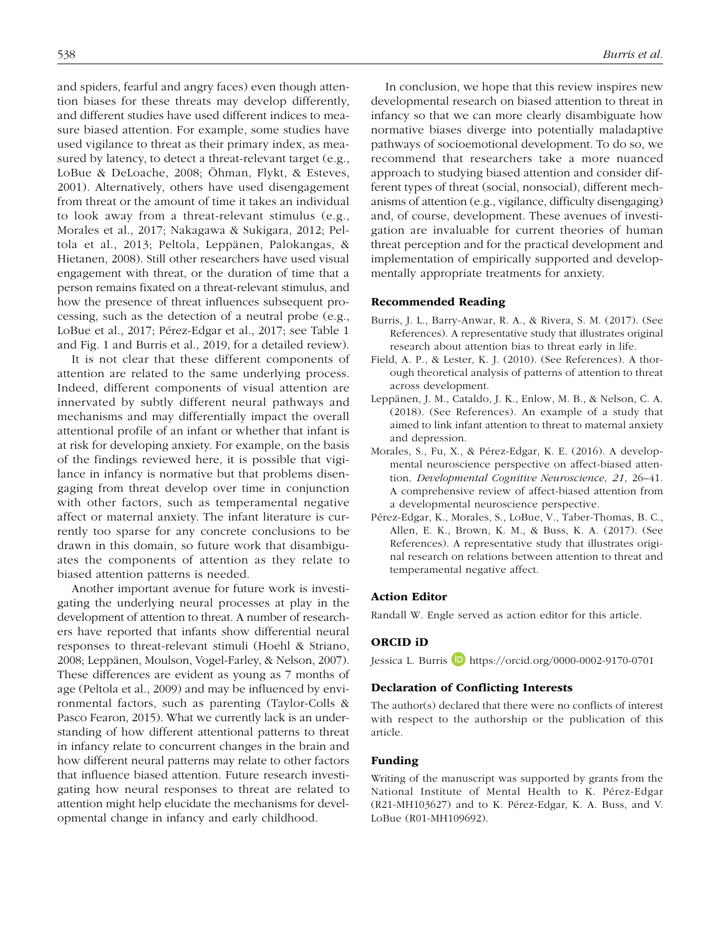and spiders, fearful and angry faces) even though attention biases for these threats may develop differently, and different studies have used different indices to measure biased attention. For example, some studies have used vigilance to threat as their primary index, as measured by latency, to detect a threat-relevant target (e.g., LoBue & DeLoache, 2008; Öhman, Flykt, & Esteves, 2001). Alternatively, others have used disengagement from threat or the amount of time it takes an individual to look away from a threat-relevant stimulus (e.g., Morales et al., 2017; Nakagawa & Sukigara, 2012; Peltola et al., 2013; Peltola, Leppänen, Palokangas, & Hietanen, 2008). Still other researchers have used visual engagement with threat, or the duration of time that a person remains fixated on a threat-relevant stimulus, and how the presence of threat influences subsequent processing, such as the detection of a neutral probe (e.g., LoBue et al., 2017; Pérez-Edgar et al., 2017; see Table 1 and Fig. 1 and Burris et al., 2019, for a detailed review).

It is not clear that these different components of attention are related to the same underlying process. Indeed, different components of visual attention are innervated by subtly different neural pathways and mechanisms and may differentially impact the overall attentional profile of an infant or whether that infant is at risk for developing anxiety. For example, on the basis of the findings reviewed here, it is possible that vigilance in infancy is normative but that problems disengaging from threat develop over time in conjunction with other factors, such as temperamental negative affect or maternal anxiety. The infant literature is currently too sparse for any concrete conclusions to be drawn in this domain, so future work that disambiguates the components of attention as they relate to biased attention patterns is needed.

Another important avenue for future work is investigating the underlying neural processes at play in the development of attention to threat. A number of researchers have reported that infants show differential neural responses to threat-relevant stimuli (Hoehl & Striano, 2008; Leppänen, Moulson, Vogel-Farley, & Nelson, 2007). These differences are evident as young as 7 months of age (Peltola et al., 2009) and may be influenced by environmental factors, such as parenting (Taylor-Colls & Pasco Fearon, 2015). What we currently lack is an understanding of how different attentional patterns to threat in infancy relate to concurrent changes in the brain and how different neural patterns may relate to other factors that influence biased attention. Future research investigating how neural responses to threat are related to attention might help elucidate the mechanisms for developmental change in infancy and early childhood.

In conclusion, we hope that this review inspires new developmental research on biased attention to threat in infancy so that we can more clearly disambiguate how normative biases diverge into potentially maladaptive pathways of socioemotional development. To do so, we recommend that researchers take a more nuanced approach to studying biased attention and consider different types of threat (social, nonsocial), different mechanisms of attention (e.g., vigilance, difficulty disengaging) and, of course, development. These avenues of investigation are invaluable for current theories of human threat perception and for the practical development and implementation of empirically supported and developmentally appropriate treatments for anxiety.

#### Recommended Reading

- Burris, J. L., Barry-Anwar, R. A., & Rivera, S. M. (2017). (See References). A representative study that illustrates original research about attention bias to threat early in life.
- Field, A. P., & Lester, K. J. (2010). (See References). A thorough theoretical analysis of patterns of attention to threat across development.
- Leppänen, J. M., Cataldo, J. K., Enlow, M. B., & Nelson, C. A. (2018). (See References). An example of a study that aimed to link infant attention to threat to maternal anxiety and depression.
- Morales, S., Fu, X., & Pérez-Edgar, K. E. (2016). A developmental neuroscience perspective on affect-biased attention. *Developmental Cognitive Neuroscience*, *21*, 26–41. A comprehensive review of affect-biased attention from a developmental neuroscience perspective.
- Pérez-Edgar, K., Morales, S., LoBue, V., Taber-Thomas, B. C., Allen, E. K., Brown, K. M., & Buss, K. A. (2017). (See References). A representative study that illustrates original research on relations between attention to threat and temperamental negative affect.

#### Action Editor

Randall W. Engle served as action editor for this article.

#### ORCID iD

Jessica L. Burris  $\Box$  <https://orcid.org/0000-0002-9170-0701>

## Declaration of Conflicting Interests

The author(s) declared that there were no conflicts of interest with respect to the authorship or the publication of this article.

## Funding

Writing of the manuscript was supported by grants from the National Institute of Mental Health to K. Pérez-Edgar (R21-MH103627) and to K. Pérez-Edgar, K. A. Buss, and V. LoBue (R01-MH109692).